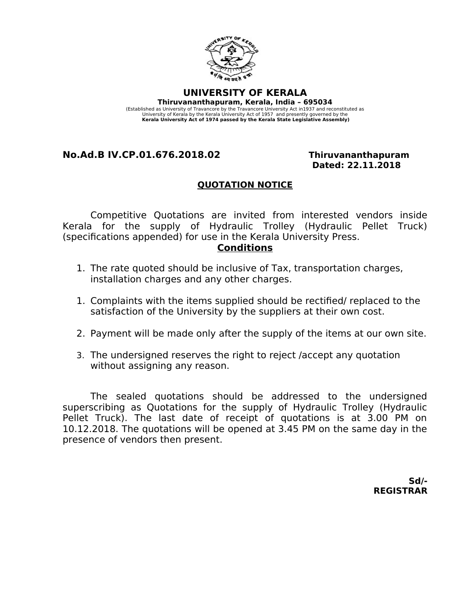

**UNIVERSITY OF KERALA Thiruvananthapuram, Kerala, India – 695034**  (Established as University of Travancore by the Travancore University Act in1937 and reconstituted as University of Kerala by the Kerala University Act of 1957 and presently governed by the **Kerala University Act of 1974 passed by the Kerala State Legislative Assembly)**

### **No.Ad.B IV.CP.01.676.2018.02 Thiruvananthapuram**

# **Dated: 22.11.2018**

#### **QUOTATION NOTICE**

Competitive Quotations are invited from interested vendors inside Kerala for the supply of Hydraulic Trolley (Hydraulic Pellet Truck) (specifications appended) for use in the Kerala University Press.

#### **Conditions**

- 1. The rate quoted should be inclusive of Tax, transportation charges, installation charges and any other charges.
- 1. Complaints with the items supplied should be rectified/ replaced to the satisfaction of the University by the suppliers at their own cost.
- 2. Payment will be made only after the supply of the items at our own site.
- 3. The undersigned reserves the right to reject /accept any quotation without assigning any reason.

The sealed quotations should be addressed to the undersigned superscribing as Quotations for the supply of Hydraulic Trolley (Hydraulic Pellet Truck). The last date of receipt of quotations is at 3.00 PM on 10.12.2018. The quotations will be opened at 3.45 PM on the same day in the presence of vendors then present.

> **Sd/- REGISTRAR**